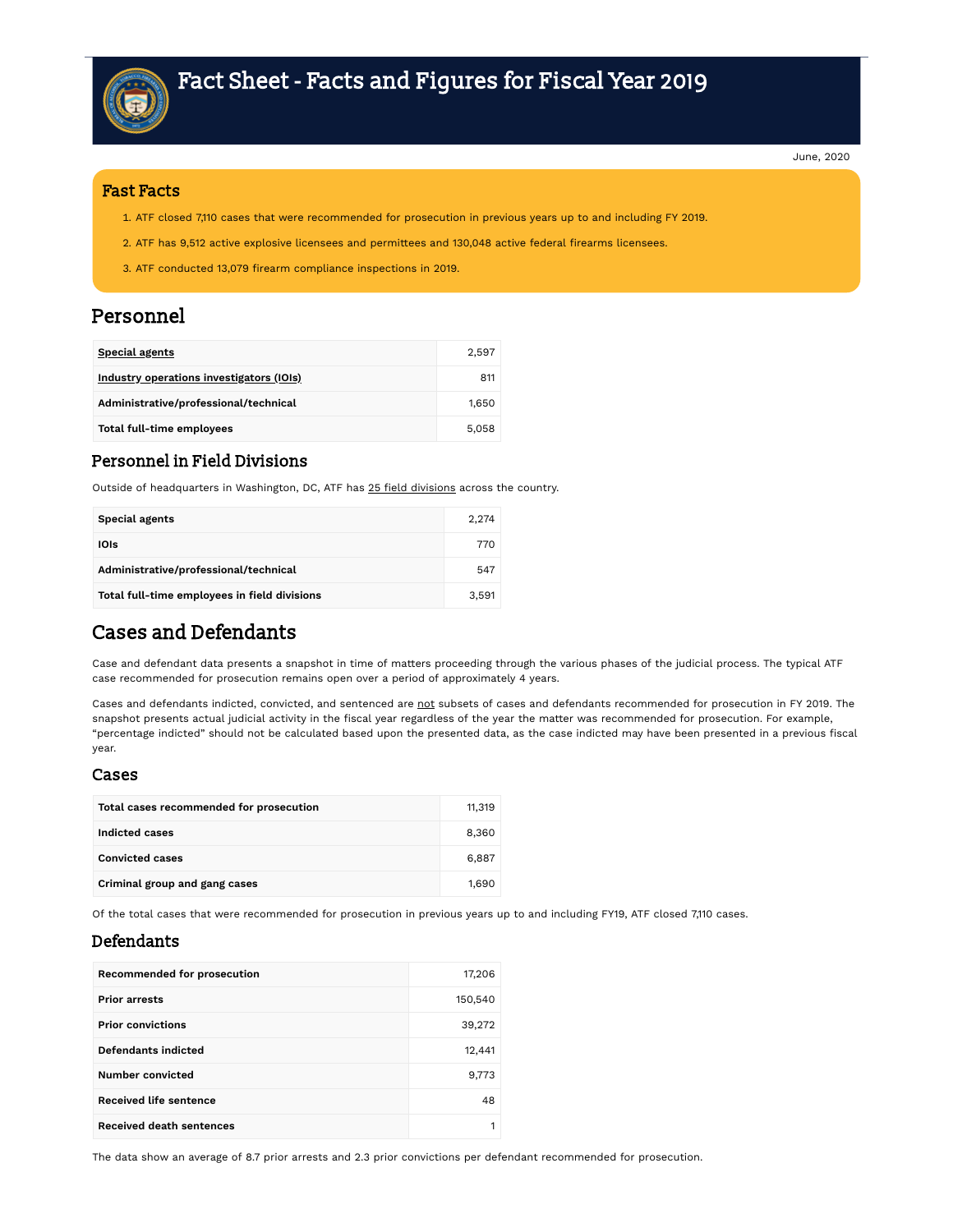

June, 2020

#### Fast Facts

- ATF closed 7,110 cases that were recommended for prosecution in previous years up to and including FY 2019.
- 2. ATF has 9,512 active explosive licensees and permittees and 130,048 active federal firearms licensees.
- 3. ATF conducted 13,079 firearm compliance inspections in 2019.

### Personnel

| <b>Special agents</b>                    | 2.597 |
|------------------------------------------|-------|
| Industry operations investigators (IOIs) | 811   |
| Administrative/professional/technical    | 1.650 |
| Total full-time employees                | 5.058 |

#### Personnel in Field Divisions

Outside of headquarters in Washington, DC, ATF has 25 field [divisions](https://www.atf.gov/contact/atf-field-divisions) across the country.

| <b>Special agents</b>                        | 2.274 |
|----------------------------------------------|-------|
| IOIs                                         | 770   |
| Administrative/professional/technical        | 547   |
| Total full-time employees in field divisions | 3.591 |

### Cases and Defendants

Case and defendant data presents a snapshot in time of matters proceeding through the various phases of the judicial process. The typical ATF case recommended for prosecution remains open over a period of approximately 4 years.

Cases and defendants indicted, convicted, and sentenced are not subsets of cases and defendants recommended for prosecution in FY 2019. The snapshot presents actual judicial activity in the fiscal year regardless of the year the matter was recommended for prosecution. For example, "percentage indicted" should not be calculated based upon the presented data, as the case indicted may have been presented in a previous fiscal year.

#### Cases

| Total cases recommended for prosecution | 11.319 |
|-----------------------------------------|--------|
| Indicted cases                          | 8,360  |
| <b>Convicted cases</b>                  | 6.887  |
| Criminal group and gang cases           | 1.690  |

Of the total cases that were recommended for prosecution in previous years up to and including FY19, ATF closed 7,110 cases.

### Defendants

| <b>Recommended for prosecution</b> | 17,206  |
|------------------------------------|---------|
| <b>Prior arrests</b>               | 150,540 |
| <b>Prior convictions</b>           | 39,272  |
| Defendants indicted                | 12,441  |
| Number convicted                   | 9,773   |
| <b>Received life sentence</b>      | 48      |
| <b>Received death sentences</b>    |         |

The data show an average of 8.7 prior arrests and 2.3 prior convictions per defendant recommended for prosecution.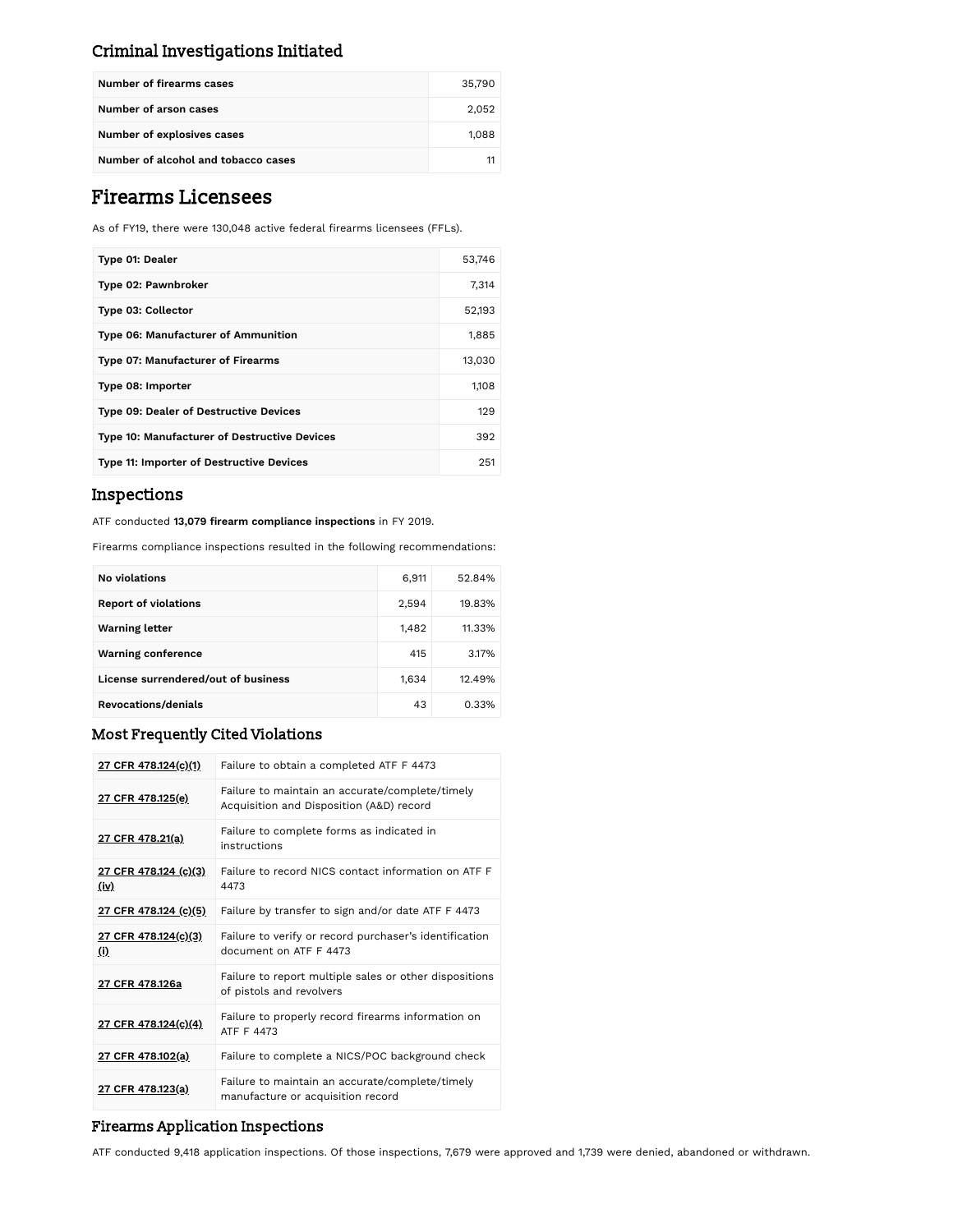### Criminal Investigations Initiated

| Number of firearms cases            | 35,790 |
|-------------------------------------|--------|
| Number of arson cases               | 2.052  |
| Number of explosives cases          | 1.088  |
| Number of alcohol and tobacco cases |        |

## Firearms Licensees

As of FY19, there were 130,048 active federal firearms licensees (FFLs).

| Type 01: Dealer                                     | 53,746 |
|-----------------------------------------------------|--------|
| Type 02: Pawnbroker                                 | 7,314  |
| <b>Type 03: Collector</b>                           | 52,193 |
| Type 06: Manufacturer of Ammunition                 | 1,885  |
| Type 07: Manufacturer of Firearms                   | 13,030 |
| Type 08: Importer                                   | 1,108  |
| <b>Type 09: Dealer of Destructive Devices</b>       | 129    |
| <b>Type 10: Manufacturer of Destructive Devices</b> | 392    |
| <b>Type 11: Importer of Destructive Devices</b>     | 251    |

### Inspections

ATF conducted **13,079 firearm compliance inspections** in FY 2019.

Firearms compliance inspections resulted in the following recommendations:

| <b>No violations</b>                | 6,911 | 52.84% |
|-------------------------------------|-------|--------|
| <b>Report of violations</b>         | 2,594 | 19.83% |
| <b>Warning letter</b>               | 1,482 | 11.33% |
| <b>Warning conference</b>           | 415   | 3.17%  |
| License surrendered/out of business | 1,634 | 12.49% |
| Revocations/denials                 | 43    | 0.33%  |

### Most Frequently Cited Violations

| 27 CFR 478.124(c)(1)          | Failure to obtain a completed ATF F 4473                                                    |
|-------------------------------|---------------------------------------------------------------------------------------------|
| 27 CFR 478.125(e)             | Failure to maintain an accurate/complete/timely<br>Acquisition and Disposition (A&D) record |
| 27 CFR 478.21(a)              | Failure to complete forms as indicated in<br>instructions                                   |
| 27 CFR 478.124 (c)(3)<br>(iv) | Failure to record NICS contact information on ATF F<br>4473                                 |
| <u>27 CFR 478.124 (c)(5)</u>  | Failure by transfer to sign and/or date ATF F 4473                                          |
| 27 CFR 478.124(c)(3)<br>(i)   | Failure to verify or record purchaser's identification<br>document on ATF F 4473            |
| 27 CFR 478.126a               | Failure to report multiple sales or other dispositions<br>of pistols and revolvers          |
| 27 CFR 478.124(c)(4)          | Failure to properly record firearms information on<br>ATF F 4473                            |
| 27 CFR 478.102(a)             | Failure to complete a NICS/POC background check                                             |
| 27 CFR 478.123(a)             | Failure to maintain an accurate/complete/timely<br>manufacture or acquisition record        |

### Firearms Application Inspections

ATF conducted 9,418 application inspections. Of those inspections, 7,679 were approved and 1,739 were denied, abandoned or withdrawn.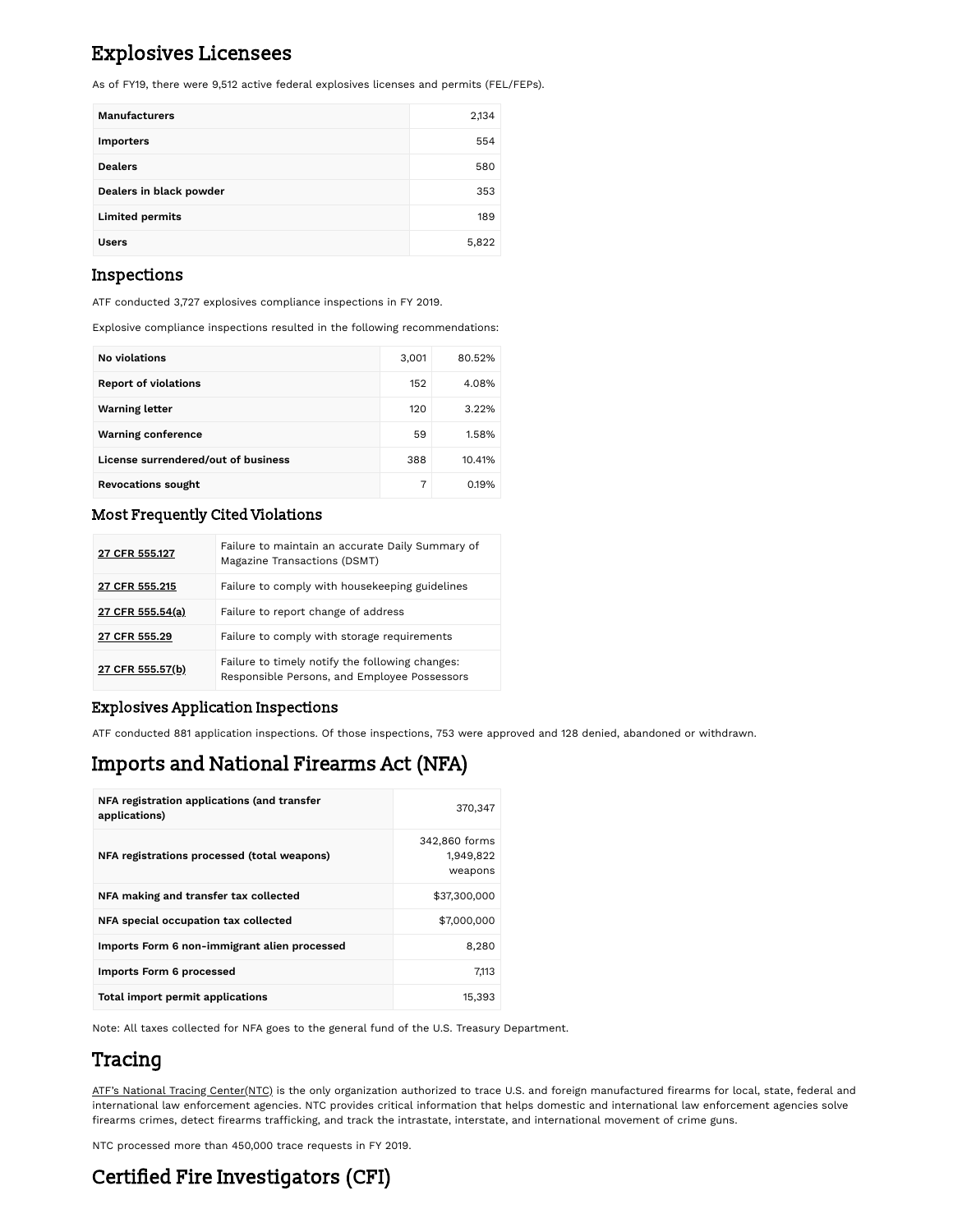## Explosives Licensees

As of FY19, there were 9,512 active federal explosives licenses and permits (FEL/FEPs).

| <b>Manufacturers</b>    | 2,134 |
|-------------------------|-------|
| <b>Importers</b>        | 554   |
| <b>Dealers</b>          | 580   |
| Dealers in black powder | 353   |
| <b>Limited permits</b>  | 189   |
| <b>Users</b>            | 5,822 |

### Inspections

ATF conducted 3,727 explosives compliance inspections in FY 2019.

Explosive compliance inspections resulted in the following recommendations:

| <b>No violations</b>                | 3,001 | 80.52% |
|-------------------------------------|-------|--------|
| <b>Report of violations</b>         | 152   | 4.08%  |
| <b>Warning letter</b>               | 120   | 3.22%  |
| <b>Warning conference</b>           | 59    | 1.58%  |
| License surrendered/out of business | 388   | 10.41% |
| <b>Revocations sought</b>           | 7     | 0.19%  |

### Most Frequently Cited Violations

| 27 CFR 555.127   | Failure to maintain an accurate Daily Summary of<br>Magazine Transactions (DSMT)                |
|------------------|-------------------------------------------------------------------------------------------------|
| 27 CFR 555.215   | Failure to comply with housekeeping guidelines                                                  |
| 27 CFR 555.54(a) | Failure to report change of address                                                             |
| 27 CFR 555.29    | Failure to comply with storage requirements                                                     |
| 27 CFR 555.57(b) | Failure to timely notify the following changes:<br>Responsible Persons, and Employee Possessors |

#### Explosives Application Inspections

ATF conducted 881 application inspections. Of those inspections, 753 were approved and 128 denied, abandoned or withdrawn.

# Imports and National Firearms Act (NFA)

| NFA registration applications (and transfer<br>applications) | 370,347                               |
|--------------------------------------------------------------|---------------------------------------|
| NFA registrations processed (total weapons)                  | 342,860 forms<br>1.949.822<br>weapons |
| NFA making and transfer tax collected                        | \$37,300,000                          |
| NFA special occupation tax collected                         | \$7,000,000                           |
| Imports Form 6 non-immigrant alien processed                 | 8,280                                 |
| Imports Form 6 processed                                     | 7.113                                 |
| Total import permit applications                             | 15.393                                |

Note: All taxes collected for NFA goes to the general fund of the U.S. Treasury Department.

## Tracing

ATF's National Tracing [Center\(NTC\)](https://www.atf.gov/firearms/national-tracing-center) is the only organization authorized to trace U.S. and foreign manufactured firearms for local, state, federal and international law enforcement agencies. NTC provides critical information that helps domestic and international law enforcement agencies solve firearms crimes, detect firearms trafficking, and track the intrastate, interstate, and international movement of crime guns.

NTC processed more than 450,000 trace requests in FY 2019.

# Certified Fire Investigators (CFI)